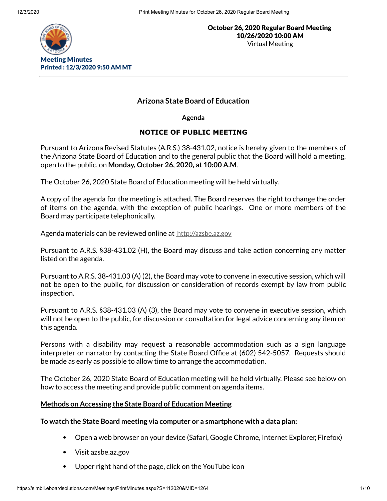

# **Arizona State Board of Education**

**Agenda**

# **NOTICE OF PUBLIC MEETING**

Pursuant to Arizona Revised Statutes (A.R.S.) 38-431.02, notice is hereby given to the members of the Arizona State Board of Education and to the general public that the Board will hold a meeting, open to the public, on **Monday, October 26, 2020, at 10:00 A.M**.

The October 26, 2020 State Board of Education meeting will be held virtually.

A copy of the agenda for the meeting is attached. The Board reserves the right to change the order of items on the agenda, with the exception of public hearings. One or more members of the Board may participate telephonically.

Agenda materials can be reviewed online at [http://azsbe.az.gov](http://azsbe.az.gov/)

Pursuant to A.R.S. §38-431.02 (H), the Board may discuss and take action concerning any matter listed on the agenda.

Pursuant to A.R.S. 38-431.03 (A) (2), the Board may vote to convene in executive session, which will not be open to the public, for discussion or consideration of records exempt by law from public inspection.

Pursuant to A.R.S. §38-431.03 (A) (3), the Board may vote to convene in executive session, which will not be open to the public, for discussion or consultation for legal advice concerning any item on this agenda.

Persons with a disability may request a reasonable accommodation such as a sign language interpreter or narrator by contacting the State Board Office at (602) 542-5057. Requests should be made as early as possible to allow time to arrange the accommodation.

The October 26, 2020 State Board of Education meeting will be held virtually. Please see below on how to access the meeting and provide public comment on agenda items.

## **Methods on Accessing the State Board of Education Meeting**

## **To watch the State Board meeting via computer or a smartphone with a data plan:**

- Open a web browser on your device (Safari, Google Chrome, Internet Explorer, Firefox)
- Visit azsbe.az.gov
- Upper right hand of the page, click on the YouTube icon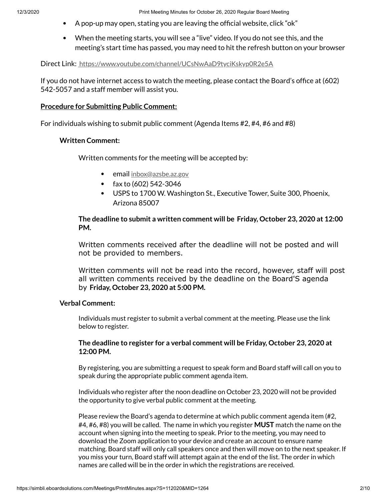- $\,$  A pop-up may open, stating you are leaving the official website, click "ok"
- When the meeting starts, you will see a "live" video. If you do not see this, and the meeting's start time has passed, you may need to hit the refresh button on your browser

Direct Link: <https://www.youtube.com/channel/UCsNwAaD9tyciKskyp0R2e5A>

If you do not have internet access to watch the meeting, please contact the Board's office at (602) 542-5057 and a staff member will assist you.

### **Procedure for Submitting Public Comment:**

For individuals wishing to submit public comment (Agenda Items #2, #4, #6 and #8)

## **Written Comment:**

Written comments for the meeting will be accepted by:

- email [inbox@azsbe.az.gov](mailto:inbox@azsbe.az.gov)
- fax to  $(602)$  542-3046
- USPS to 1700 W. Washington St., Executive Tower, Suite 300, Phoenix, Arizona 85007

**The deadline to submit a written comment will be Friday, October 23, 2020 at 12:00 PM.**

Written comments received after the deadline will not be posted and will not be provided to members.

Written comments will not be read into the record, however, staff will post all written comments received by the deadline on the Board'S agenda by **Friday, October 23, 2020 at 5:00 PM.**

## **Verbal Comment:**

Individuals must register to submit a verbal comment at the meeting. Please use the link below to register.

## **The deadline to register for a verbal comment will be Friday, October 23, 2020 at 12:00 PM.**

By registering, you are submitting a request to speak form and Board staff will call on you to speak during the appropriate public comment agenda item.

Individuals who register after the noon deadline on October 23, 2020 will not be provided the opportunity to give verbal public comment at the meeting.

Please review the Board's agenda to determine at which public comment agenda item (#2, #4, #6, #8) you will be called. The name in which you register **MUST** match the name on the account when signing into the meeting to speak. Prior to the meeting, you may need to download the Zoom application to your device and create an account to ensure name matching. Board staff will only call speakers once and then will move on to the next speaker. If you miss your turn, Board staff will attempt again at the end of the list. The order in which names are called will be in the order in which the registrations are received.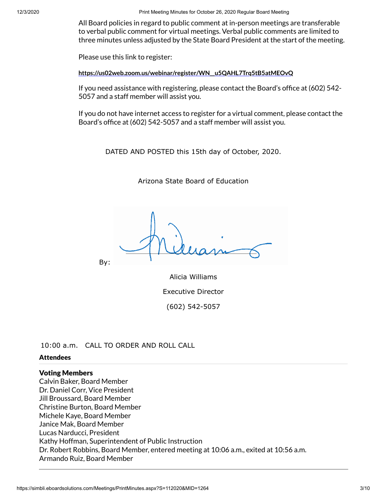12/3/2020 Print Meeting Minutes for October 26, 2020 Regular Board Meeting

All Board policies in regard to public comment at in-person meetings are transferable to verbal public comment for virtual meetings. Verbal public comments are limited to three minutes unless adjusted by the State Board President at the start of the meeting.

Please use this link to register:

**[https://us02web.zoom.us/webinar/register/WN\\_\\_u5QAHL7Trq5tB5atMEOvQ](https://us02web.zoom.us/webinar/register/WN__u5QAHL7Trq5tB5atMEOvQ)**

If you need assistance with registering, please contact the Board's office at  $(602)$  542-5057 and a staff member will assist you.

If you do not have internet access to register for a virtual comment, please contact the Board's office at (602) 542-5057 and a staff member will assist you.

DATED AND POSTED this 15th day of October, 2020.

Arizona State Board of Education

By:

Alicia Williams Executive Director (602) 542-5057

10:00 a.m. CALL TO ORDER AND ROLL CALL

### Attendees

## Voting Members

Calvin Baker, Board Member Dr. Daniel Corr, Vice President Jill Broussard, Board Member Christine Burton, Board Member Michele Kaye, Board Member Janice Mak, Board Member Lucas Narducci, President Kathy Hoffman, Superintendent of Public Instruction Dr. Robert Robbins, Board Member, entered meeting at 10:06 a.m., exited at 10:56 a.m. Armando Ruiz, Board Member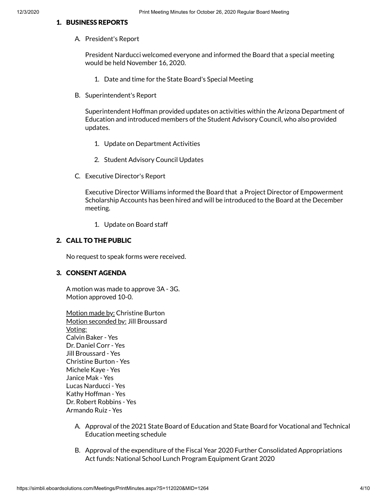#### 1. BUSINESS REPORTS

A. President's Report

President Narducci welcomed everyone and informed the Board that a special meeting would be held November 16, 2020.

- 1. Date and time for the State Board's Special Meeting
- B. Superintendent's Report

Superintendent Hoffman provided updates on activities within the Arizona Department of Education and introduced members of the Student Advisory Council, who also provided updates.

- 1. Update on Department Activities
- 2. Student Advisory Council Updates
- C. Executive Director's Report

Executive Director Williams informed the Board that a Project Director of Empowerment Scholarship Accounts has been hired and will be introduced to the Board at the December meeting.

1. Update on Board staff

### 2. CALL TO THE PUBLIC

No request to speak forms were received.

### 3. CONSENT AGENDA

A motion was made to approve 3A - 3G. Motion approved 10-0.

| Motion made by: Christine Burton   |
|------------------------------------|
| Motion seconded by: Jill Broussard |
| <u>Voting:</u>                     |
| Calvin Baker - Yes                 |
| Dr. Daniel Corr - Yes              |
| Jill Broussard - Yes               |
| Christine Burton - Yes             |
| Michele Kaye - Yes                 |
| Janice Mak - Yes                   |
| Lucas Narducci - Yes               |
| Kathy Hoffman - Yes                |
| Dr. Robert Robbins - Yes           |
| Armando Ruiz - Yes                 |

- A. Approval of the 2021 State Board of Education and State Board for Vocational and Technical Education meeting schedule
- B. Approval of the expenditure of the Fiscal Year 2020 Further Consolidated Appropriations Act funds: National School Lunch Program Equipment Grant 2020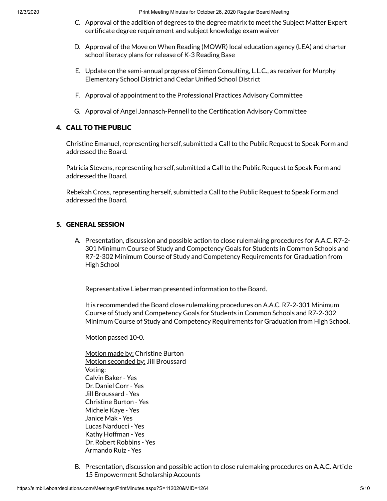- C. Approval of the addition of degrees to the degree matrix to meet the Subject Matter Expert certificate degree requirement and subject knowledge exam waiver
- D. Approval of the Move on When Reading (MOWR) local education agency (LEA) and charter school literacy plans for release of K-3 Reading Base
- E. Update on the semi-annual progress of Simon Consulting, L.L.C., as receiver for Murphy Elementary School District and Cedar Unified School District
- F. Approval of appointment to the Professional Practices Advisory Committee
- G. Approval of Angel Jannasch-Pennell to the Certification Advisory Committee

#### 4. CALL TO THE PUBLIC

Christine Emanuel, representing herself, submitted a Call to the Public Request to Speak Form and addressed the Board.

Patricia Stevens, representing herself, submitted a Call to the Public Request to Speak Form and addressed the Board.

Rebekah Cross, representing herself, submitted a Call to the Public Request to Speak Form and addressed the Board.

## 5. GENERAL SESSION

A. Presentation, discussion and possible action to close rulemaking procedures for A.A.C. R7-2- 301 Minimum Course of Study and Competency Goals for Students in Common Schools and R7-2-302 Minimum Course of Study and Competency Requirements for Graduation from High School

Representative Lieberman presented information to the Board.

It is recommended the Board close rulemaking procedures on A.A.C. R7-2-301 Minimum Course of Study and Competency Goals for Students in Common Schools and R7-2-302 Minimum Course of Study and Competency Requirements for Graduation from High School.

Motion passed 10-0.

Motion made by: Christine Burton Motion seconded by: Jill Broussard Voting: Calvin Baker - Yes Dr. Daniel Corr - Yes Jill Broussard - Yes Christine Burton - Yes Michele Kaye - Yes Janice Mak - Yes Lucas Narducci - Yes Kathy Hoffman - Yes Dr. Robert Robbins - Yes Armando Ruiz - Yes

B. Presentation, discussion and possible action to close rulemaking procedures on A.A.C. Article 15 Empowerment Scholarship Accounts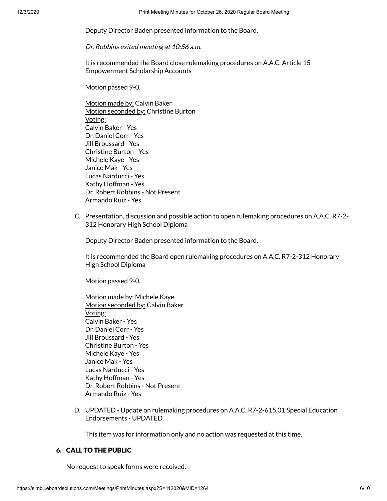Deputy Director Baden presented information to the Board.

Dr. Robbins exited meeting at 10:56 a.m.

It is recommended the Board close rulemaking procedures on A.A.C. Article 15 Empowerment Scholarship Accounts

Motion passed 9-0.

Motion made by: Calvin Baker Motion seconded by: Christine Burton Voting: Calvin Baker - Yes Dr. Daniel Corr - Yes Jill Broussard - Yes Christine Burton - Yes Michele Kaye - Yes Janice Mak - Yes Lucas Narducci - Yes Kathy Hoffman - Yes Dr. Robert Robbins - Not Present Armando Ruiz - Yes

C. Presentation, discussion and possible action to open rulemaking procedures on A.A.C. R7-2- 312 Honorary High School Diploma

Deputy Director Baden presented information to the Board.

It is recommended the Board open rulemaking procedures on A.A.C. R7-2-312 Honorary High School Diploma

Motion passed 9-0.

Motion made by: Michele Kaye Motion seconded by: Calvin Baker Voting: Calvin Baker - Yes Dr. Daniel Corr - Yes Jill Broussard - Yes Christine Burton - Yes Michele Kaye - Yes Janice Mak - Yes Lucas Narducci - Yes Kathy Hoffman - Yes Dr. Robert Robbins - Not Present Armando Ruiz - Yes

D. UPDATED - Update on rulemaking procedures on A.A.C. R7-2-615.01 Special Education Endorsements - UPDATED

This item was for information only and no action was requested at this time.

## 6. CALL TO THE PUBLIC

No request to speak forms were received.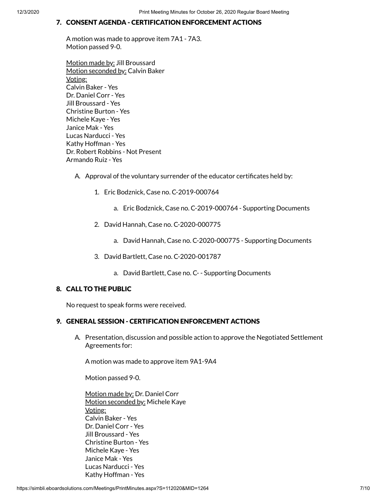## 7. CONSENT AGENDA - CERTIFICATION ENFORCEMENT ACTIONS

A motion was made to approve item 7A1 - 7A3. Motion passed 9-0.

Motion made by: Jill Broussard Motion seconded by: Calvin Baker Voting: Calvin Baker - Yes Dr. Daniel Corr - Yes Jill Broussard - Yes Christine Burton - Yes Michele Kaye - Yes Janice Mak - Yes Lucas Narducci - Yes Kathy Hoffman - Yes Dr. Robert Robbins - Not Present Armando Ruiz - Yes

- A. Approval of the voluntary surrender of the educator certificates held by:
	- 1. Eric Bodznick, Case no. C-2019-000764
		- a. Eric Bodznick, Case no. C-2019-000764 Supporting Documents
	- 2. David Hannah, Case no. C-2020-000775
		- a. David Hannah, Case no. C-2020-000775 Supporting Documents
	- 3. David Bartlett, Case no. C-2020-001787
		- a. David Bartlett, Case no. C- Supporting Documents

### 8. CALL TO THE PUBLIC

No request to speak forms were received.

#### 9. GENERAL SESSION - CERTIFICATION ENFORCEMENT ACTIONS

A. Presentation, discussion and possible action to approve the Negotiated Settlement Agreements for:

A motion was made to approve item 9A1-9A4

Motion passed 9-0.

Motion made by: Dr. Daniel Corr Motion seconded by: Michele Kaye Voting: Calvin Baker - Yes Dr. Daniel Corr - Yes Jill Broussard - Yes Christine Burton - Yes Michele Kaye - Yes Janice Mak - Yes Lucas Narducci - Yes Kathy Hoffman - Yes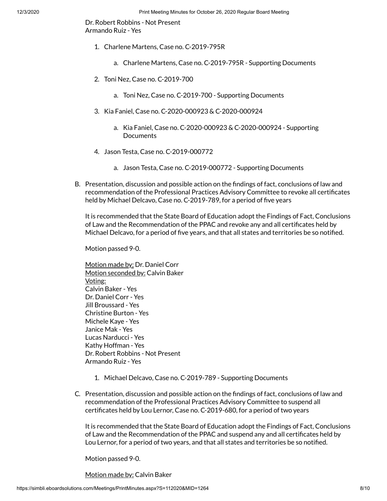Dr. Robert Robbins - Not Present Armando Ruiz - Yes

- 1. Charlene Martens, Case no. C-2019-795R
	- a. Charlene Martens, Case no. C-2019-795R Supporting Documents
- 2. Toni Nez, Case no. C-2019-700
	- a. Toni Nez, Case no. C-2019-700 Supporting Documents
- 3. Kia Faniel, Case no. C-2020-000923 & C-2020-000924
	- a. Kia Faniel, Case no. C-2020-000923 & C-2020-000924 Supporting **Documents**
- 4. Jason Testa, Case no. C-2019-000772
	- a. Jason Testa, Case no. C-2019-000772 Supporting Documents
- B. Presentation, discussion and possible action on the findings of fact, conclusions of law and recommendation of the Professional Practices Advisory Committee to revoke all certificates held by Michael Delcavo, Case no. C-2019-789, for a period of five years

It is recommended that the State Board of Education adopt the Findings of Fact, Conclusions of Law and the Recommendation of the PPAC and revoke any and all certificates held by Michael Delcavo, for a period of five years, and that all states and territories be so notified.

Motion passed 9-0.

Motion made by: Dr. Daniel Corr Motion seconded by: Calvin Baker Voting: Calvin Baker - Yes Dr. Daniel Corr - Yes Jill Broussard - Yes Christine Burton - Yes Michele Kaye - Yes Janice Mak - Yes Lucas Narducci - Yes Kathy Hoffman - Yes Dr. Robert Robbins - Not Present Armando Ruiz - Yes

- 1. Michael Delcavo, Case no. C-2019-789 Supporting Documents
- C. Presentation, discussion and possible action on the findings of fact, conclusions of law and recommendation of the Professional Practices Advisory Committee to suspend all certificates held by Lou Lernor, Case no. C-2019-680, for a period of two years

It is recommended that the State Board of Education adopt the Findings of Fact, Conclusions of Law and the Recommendation of the PPAC and suspend any and all certificates held by Lou Lernor, for a period of two years, and that all states and territories be so notified.

Motion passed 9-0.

Motion made by: Calvin Baker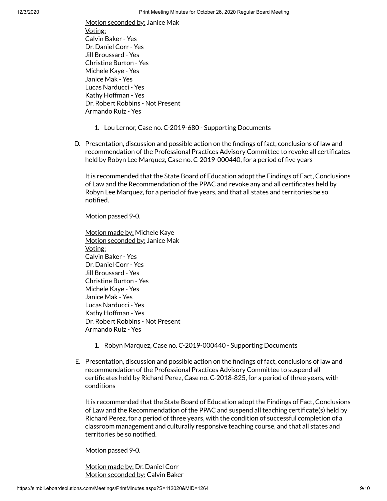Motion seconded by: Janice Mak Voting: Calvin Baker - Yes Dr. Daniel Corr - Yes Jill Broussard - Yes Christine Burton - Yes Michele Kaye - Yes Janice Mak - Yes Lucas Narducci - Yes Kathy Hoffman - Yes Dr. Robert Robbins - Not Present Armando Ruiz - Yes

- 1. Lou Lernor, Case no. C-2019-680 Supporting Documents
- D. Presentation, discussion and possible action on the findings of fact, conclusions of law and recommendation of the Professional Practices Advisory Committee to revoke all certificates held by Robyn Lee Marquez, Case no. C-2019-000440, for a period of five years

It is recommended that the State Board of Education adopt the Findings of Fact, Conclusions of Law and the Recommendation of the PPAC and revoke any and all certificates held by Robyn Lee Marquez, for a period of five years, and that all states and territories be so notified.

Motion passed 9-0.

Motion made by: Michele Kaye Motion seconded by: Janice Mak Voting: Calvin Baker - Yes Dr. Daniel Corr - Yes Jill Broussard - Yes Christine Burton - Yes Michele Kaye - Yes Janice Mak - Yes Lucas Narducci - Yes Kathy Hoffman - Yes Dr. Robert Robbins - Not Present Armando Ruiz - Yes

- 1. Robyn Marquez, Case no. C-2019-000440 Supporting Documents
- E. Presentation, discussion and possible action on the findings of fact, conclusions of law and recommendation of the Professional Practices Advisory Committee to suspend all certificates held by Richard Perez, Case no. C-2018-825, for a period of three years, with conditions

It is recommended that the State Board of Education adopt the Findings of Fact, Conclusions of Law and the Recommendation of the PPAC and suspend all teaching certificate(s) held by Richard Perez, for a period of three years, with the condition of successful completion of a classroom management and culturally responsive teaching course, and that all states and territories be so notified.

Motion passed 9-0.

Motion made by: Dr. Daniel Corr Motion seconded by: Calvin Baker